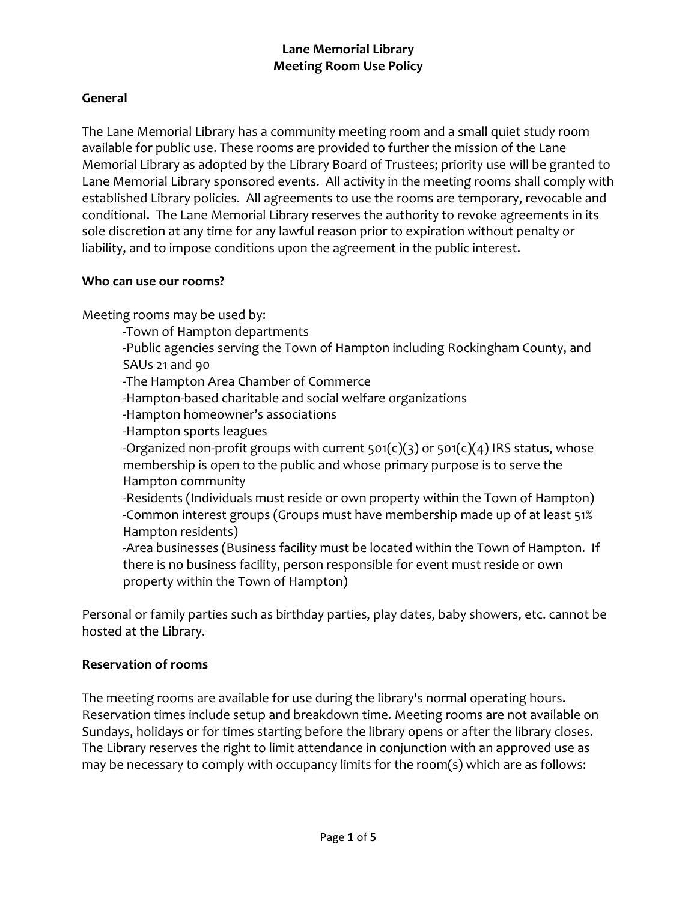## **General**

The Lane Memorial Library has a community meeting room and a small quiet study room available for public use. These rooms are provided to further the mission of the Lane Memorial Library as adopted by the Library Board of Trustees; priority use will be granted to Lane Memorial Library sponsored events. All activity in the meeting rooms shall comply with established Library policies. All agreements to use the rooms are temporary, revocable and conditional. The Lane Memorial Library reserves the authority to revoke agreements in its sole discretion at any time for any lawful reason prior to expiration without penalty or liability, and to impose conditions upon the agreement in the public interest.

#### **Who can use our rooms?**

Meeting rooms may be used by:

-Town of Hampton departments

-Public agencies serving the Town of Hampton including Rockingham County, and SAUs 21 and 90

-The Hampton Area Chamber of Commerce

-Hampton-based charitable and social welfare organizations

- -Hampton homeowner's associations
- -Hampton sports leagues

-Organized non-profit groups with current  $501(c)(3)$  or  $501(c)(4)$  IRS status, whose membership is open to the public and whose primary purpose is to serve the Hampton community

-Residents (Individuals must reside or own property within the Town of Hampton) -Common interest groups (Groups must have membership made up of at least 51% Hampton residents)

-Area businesses (Business facility must be located within the Town of Hampton. If there is no business facility, person responsible for event must reside or own property within the Town of Hampton)

Personal or family parties such as birthday parties, play dates, baby showers, etc. cannot be hosted at the Library.

#### **Reservation of rooms**

The meeting rooms are available for use during the library's normal operating hours. Reservation times include setup and breakdown time. Meeting rooms are not available on Sundays, holidays or for times starting before the library opens or after the library closes. The Library reserves the right to limit attendance in conjunction with an approved use as may be necessary to comply with occupancy limits for the room(s) which are as follows: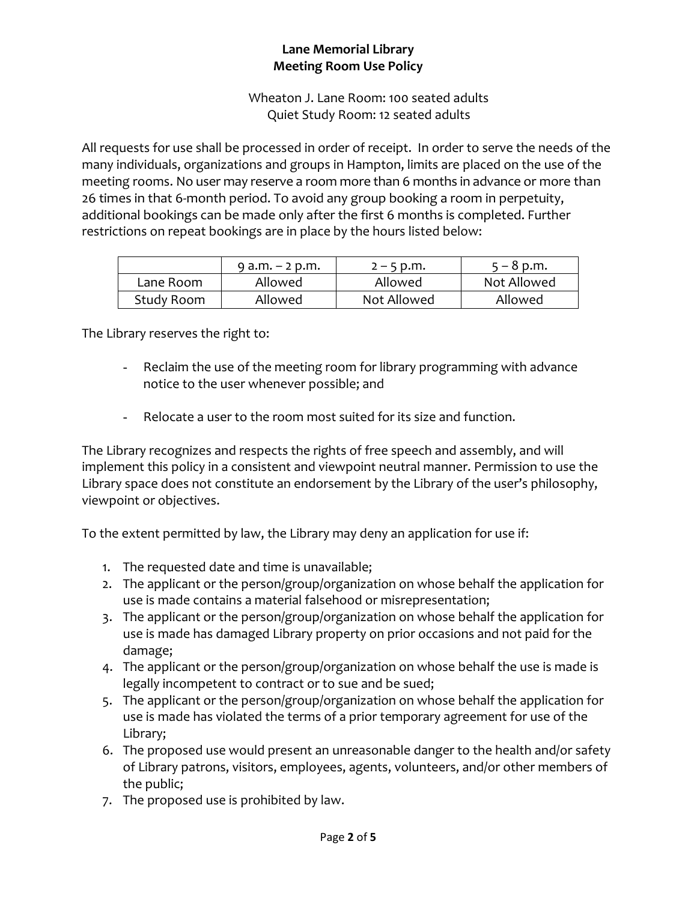Wheaton J. Lane Room: 100 seated adults Quiet Study Room: 12 seated adults

All requests for use shall be processed in order of receipt. In order to serve the needs of the many individuals, organizations and groups in Hampton, limits are placed on the use of the meeting rooms. No user may reserve a room more than 6 months in advance or more than 26 times in that 6-month period. To avoid any group booking a room in perpetuity, additional bookings can be made only after the first 6 months is completed. Further restrictions on repeat bookings are in place by the hours listed below:

|            | $9$ a.m. $-$ 2 p.m. | $2 - 5$ p.m. | $5 - 8$ p.m. |
|------------|---------------------|--------------|--------------|
| Lane Room  | Allowed             | Allowed      | Not Allowed  |
| Study Room | Allowed             | Not Allowed  | Allowed      |

The Library reserves the right to:

- Reclaim the use of the meeting room for library programming with advance notice to the user whenever possible; and
- Relocate a user to the room most suited for its size and function.

The Library recognizes and respects the rights of free speech and assembly, and will implement this policy in a consistent and viewpoint neutral manner. Permission to use the Library space does not constitute an endorsement by the Library of the user's philosophy, viewpoint or objectives.

To the extent permitted by law, the Library may deny an application for use if:

- 1. The requested date and time is unavailable;
- 2. The applicant or the person/group/organization on whose behalf the application for use is made contains a material falsehood or misrepresentation;
- 3. The applicant or the person/group/organization on whose behalf the application for use is made has damaged Library property on prior occasions and not paid for the damage;
- 4. The applicant or the person/group/organization on whose behalf the use is made is legally incompetent to contract or to sue and be sued;
- 5. The applicant or the person/group/organization on whose behalf the application for use is made has violated the terms of a prior temporary agreement for use of the Library;
- 6. The proposed use would present an unreasonable danger to the health and/or safety of Library patrons, visitors, employees, agents, volunteers, and/or other members of the public;
- 7. The proposed use is prohibited by law.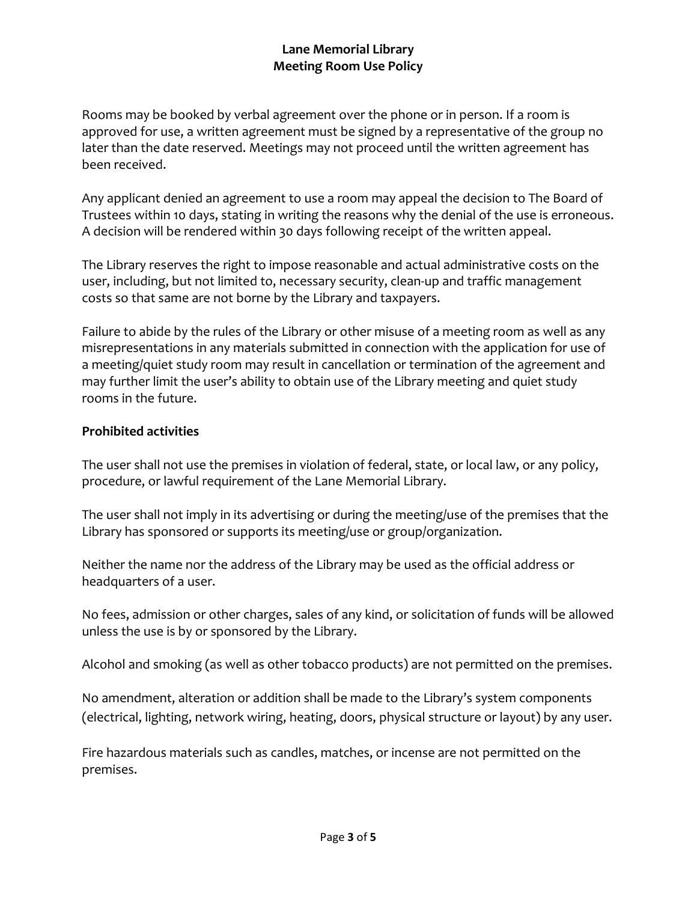Rooms may be booked by verbal agreement over the phone or in person. If a room is approved for use, a written agreement must be signed by a representative of the group no later than the date reserved. Meetings may not proceed until the written agreement has been received.

Any applicant denied an agreement to use a room may appeal the decision to The Board of Trustees within 10 days, stating in writing the reasons why the denial of the use is erroneous. A decision will be rendered within 30 days following receipt of the written appeal.

The Library reserves the right to impose reasonable and actual administrative costs on the user, including, but not limited to, necessary security, clean-up and traffic management costs so that same are not borne by the Library and taxpayers.

Failure to abide by the rules of the Library or other misuse of a meeting room as well as any misrepresentations in any materials submitted in connection with the application for use of a meeting/quiet study room may result in cancellation or termination of the agreement and may further limit the user's ability to obtain use of the Library meeting and quiet study rooms in the future.

### **Prohibited activities**

The user shall not use the premises in violation of federal, state, or local law, or any policy, procedure, or lawful requirement of the Lane Memorial Library.

The user shall not imply in its advertising or during the meeting/use of the premises that the Library has sponsored or supports its meeting/use or group/organization.

Neither the name nor the address of the Library may be used as the official address or headquarters of a user.

No fees, admission or other charges, sales of any kind, or solicitation of funds will be allowed unless the use is by or sponsored by the Library.

Alcohol and smoking (as well as other tobacco products) are not permitted on the premises.

No amendment, alteration or addition shall be made to the Library's system components (electrical, lighting, network wiring, heating, doors, physical structure or layout) by any user.

Fire hazardous materials such as candles, matches, or incense are not permitted on the premises.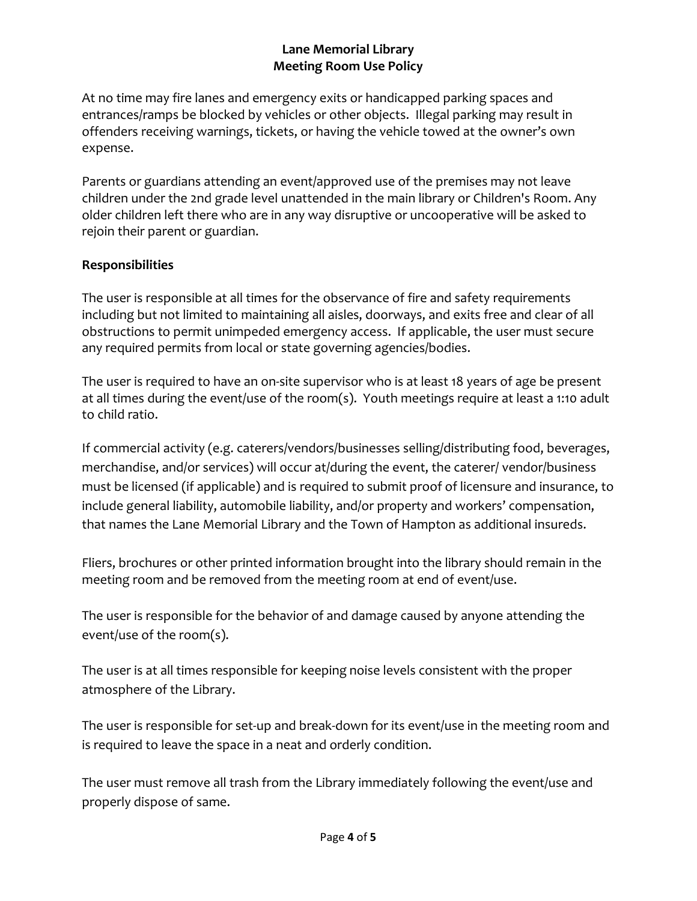At no time may fire lanes and emergency exits or handicapped parking spaces and entrances/ramps be blocked by vehicles or other objects. Illegal parking may result in offenders receiving warnings, tickets, or having the vehicle towed at the owner's own expense.

Parents or guardians attending an event/approved use of the premises may not leave children under the 2nd grade level unattended in the main library or Children's Room. Any older children left there who are in any way disruptive or uncooperative will be asked to rejoin their parent or guardian.

# **Responsibilities**

The user is responsible at all times for the observance of fire and safety requirements including but not limited to maintaining all aisles, doorways, and exits free and clear of all obstructions to permit unimpeded emergency access. If applicable, the user must secure any required permits from local or state governing agencies/bodies.

The user is required to have an on-site supervisor who is at least 18 years of age be present at all times during the event/use of the room(s). Youth meetings require at least a 1:10 adult to child ratio.

If commercial activity (e.g. caterers/vendors/businesses selling/distributing food, beverages, merchandise, and/or services) will occur at/during the event, the caterer/ vendor/business must be licensed (if applicable) and is required to submit proof of licensure and insurance, to include general liability, automobile liability, and/or property and workers' compensation, that names the Lane Memorial Library and the Town of Hampton as additional insureds.

Fliers, brochures or other printed information brought into the library should remain in the meeting room and be removed from the meeting room at end of event/use.

The user is responsible for the behavior of and damage caused by anyone attending the event/use of the room(s).

The user is at all times responsible for keeping noise levels consistent with the proper atmosphere of the Library.

The user is responsible for set-up and break-down for its event/use in the meeting room and is required to leave the space in a neat and orderly condition.

The user must remove all trash from the Library immediately following the event/use and properly dispose of same.